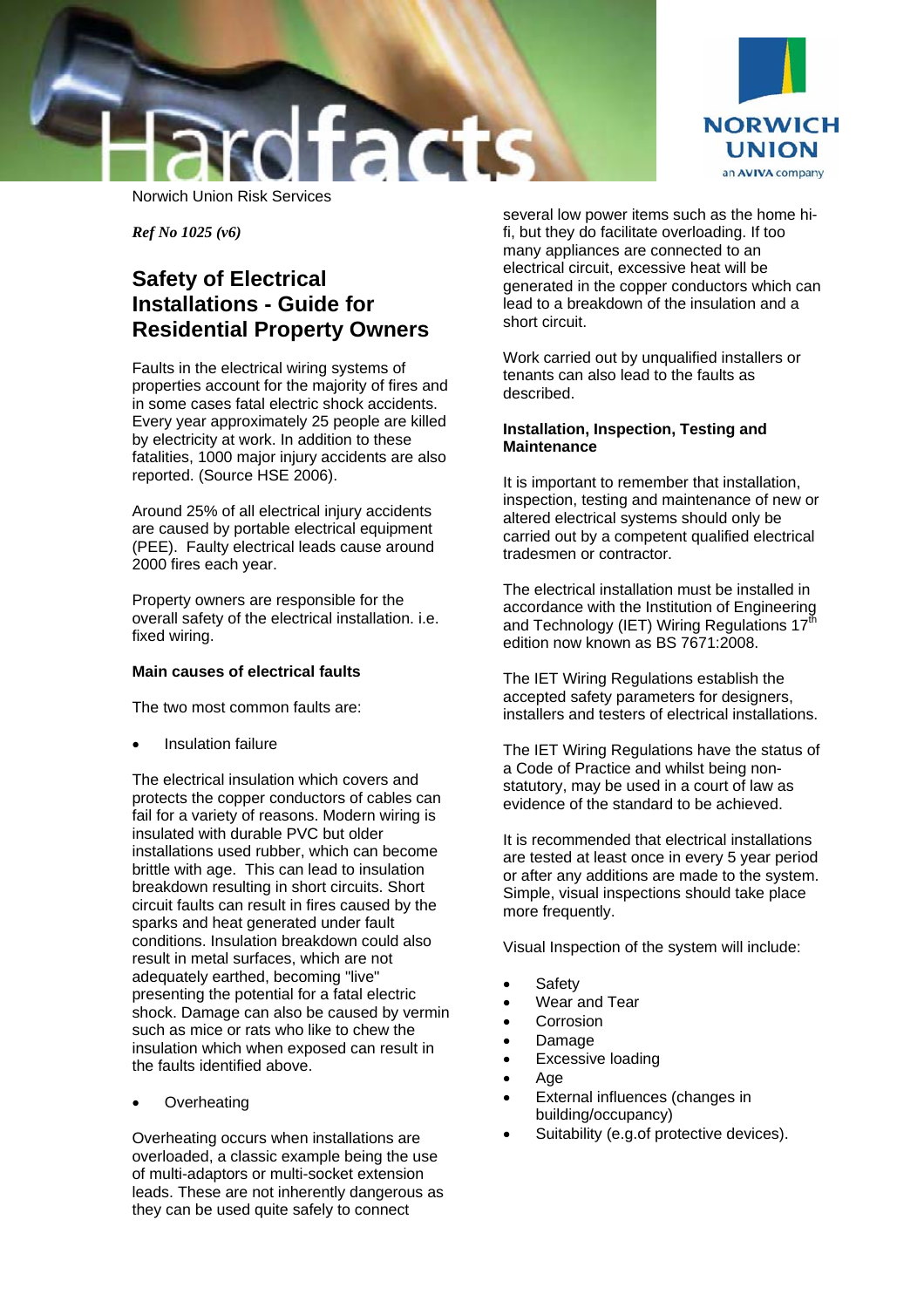



*Ref No 1025 (v6)* 

# **Safety of Electrical Installations - Guide for Residential Property Owners**

Faults in the electrical wiring systems of properties account for the majority of fires and in some cases fatal electric shock accidents. Every year approximately 25 people are killed by electricity at work. In addition to these fatalities, 1000 major injury accidents are also reported. (Source HSE 2006).

Around 25% of all electrical injury accidents are caused by portable electrical equipment (PEE). Faulty electrical leads cause around 2000 fires each year.

Property owners are responsible for the overall safety of the electrical installation. i.e. fixed wiring.

### **Main causes of electrical faults**

The two most common faults are:

• Insulation failure

The electrical insulation which covers and protects the copper conductors of cables can fail for a variety of reasons. Modern wiring is insulated with durable PVC but older installations used rubber, which can become brittle with age. This can lead to insulation breakdown resulting in short circuits. Short circuit faults can result in fires caused by the sparks and heat generated under fault conditions. Insulation breakdown could also result in metal surfaces, which are not adequately earthed, becoming "live" presenting the potential for a fatal electric shock. Damage can also be caused by vermin such as mice or rats who like to chew the insulation which when exposed can result in the faults identified above.

**Overheating** 

Overheating occurs when installations are overloaded, a classic example being the use of multi-adaptors or multi-socket extension leads. These are not inherently dangerous as they can be used quite safely to connect

several low power items such as the home hifi, but they do facilitate overloading. If too many appliances are connected to an electrical circuit, excessive heat will be generated in the copper conductors which can lead to a breakdown of the insulation and a short circuit.

Work carried out by unqualified installers or tenants can also lead to the faults as described.

### **Installation, Inspection, Testing and Maintenance**

It is important to remember that installation, inspection, testing and maintenance of new or altered electrical systems should only be carried out by a competent qualified electrical tradesmen or contractor.

The electrical installation must be installed in accordance with the Institution of Engineering and Technology (IET) Wiring Regulations 17<sup>th</sup> edition now known as BS 7671:2008.

The IET Wiring Regulations establish the accepted safety parameters for designers, installers and testers of electrical installations.

The IET Wiring Regulations have the status of a Code of Practice and whilst being nonstatutory, may be used in a court of law as evidence of the standard to be achieved.

It is recommended that electrical installations are tested at least once in every 5 year period or after any additions are made to the system. Simple, visual inspections should take place more frequently.

Visual Inspection of the system will include:

- Safety
- Wear and Tear
- **Corrosion**
- Damage
- Excessive loading
- Age
- External influences (changes in building/occupancy)
- Suitability (e.g.of protective devices).